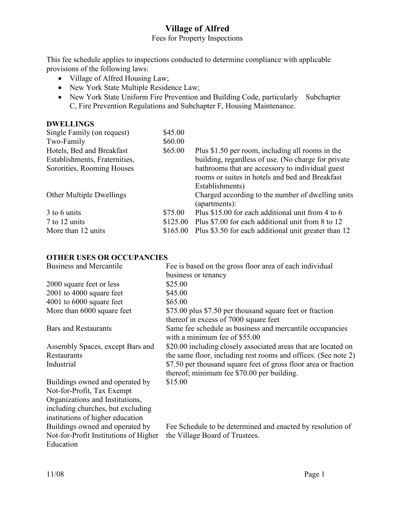## **Village of Alfred**

### Fees for Property Inspections

This fee schedule applies to inspections conducted to determine compliance with applicable provisions of the following laws:

- Village of Alfred Housing Law;
- New York State Multiple Residence Law;
- New York State Uniform Fire Prevention and Building Code, particularly Subchapter C, Fire Prevention Regulations and Subchapter F, Housing Maintenance.

#### **DWELLINGS**

| Single Family (on request)      | \$45.00  |                                                      |
|---------------------------------|----------|------------------------------------------------------|
| Two-Family                      | \$60.00  |                                                      |
| Hotels, Bed and Breakfast       | \$65.00  | Plus \$1.50 per room, including all rooms in the     |
| Establishments, Fraternities,   |          | building, regardless of use. (No charge for private  |
| Sororities, Rooming Houses      |          | bathrooms that are accessory to individual guest     |
|                                 |          | rooms or suites in hotels and bed and Breakfast      |
|                                 |          | Establishments)                                      |
| <b>Other Multiple Dwellings</b> |          | Charged according to the number of dwelling units    |
|                                 |          | (apartments):                                        |
| 3 to 6 units                    | \$75.00  | Plus \$15.00 for each additional unit from 4 to 6    |
| 7 to 12 units                   | \$125.00 | Plus \$7.00 for each additional unit from 8 to 12    |
| More than 12 units              | \$165.00 | Plus \$3.50 for each additional unit greater than 12 |
|                                 |          |                                                      |

### **OTHER USES OR OCCUPANCIES**

| Business and Mercantile               | Fee is based on the gross floor area of each individual                                           |
|---------------------------------------|---------------------------------------------------------------------------------------------------|
|                                       | business or tenancy                                                                               |
| 2000 square feet or less              | \$25.00                                                                                           |
| $2001$ to 4000 square feet            | \$45.00                                                                                           |
| $4001$ to $6000$ square feet          | \$65.00                                                                                           |
| More than 6000 square feet            | \$75.00 plus \$7.50 per thousand square feet or fraction<br>thereof in excess of 7000 square feet |
| <b>Bars and Restaurants</b>           | Same fee schedule as business and mercantile occupancies<br>with a minimum fee of \$55.00         |
| Assembly Spaces, except Bars and      | \$20.00 including closely associated areas that are located on                                    |
| Restaurants                           | the same floor, including rest rooms and offices. (See note 2)                                    |
| Industrial                            | \$7.50 per thousand square feet of gross floor area or fraction                                   |
|                                       | thereof; minimum fee \$70.00 per building.                                                        |
| Buildings owned and operated by       | \$15.00                                                                                           |
| Not-for-Profit, Tax Exempt            |                                                                                                   |
| Organizations and Institutions,       |                                                                                                   |
| including churches, but excluding     |                                                                                                   |
| institutions of higher education      |                                                                                                   |
| Buildings owned and operated by       | Fee Schedule to be determined and enacted by resolution of                                        |
| Not-for-Profit Institutions of Higher | the Village Board of Trustees.                                                                    |
| Education                             |                                                                                                   |